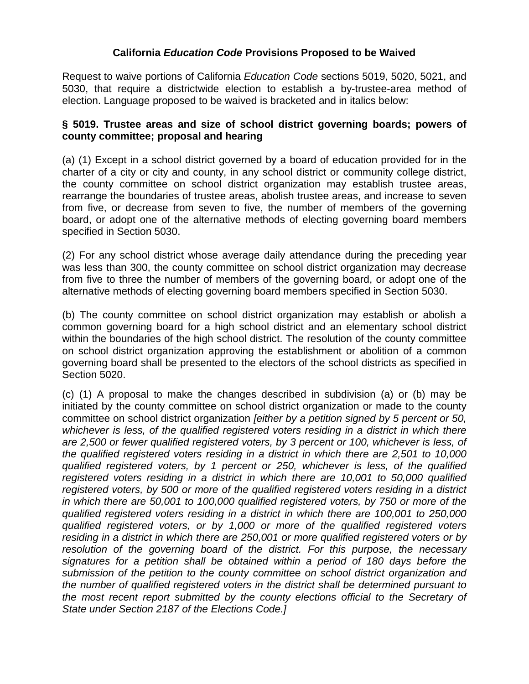#### **California** *Education Code* **Provisions Proposed to be Waived**

Request to waive portions of California *Education Code* sections 5019, 5020, 5021, and 5030, that require a districtwide election to establish a by-trustee-area method of election. Language proposed to be waived is bracketed and in italics below:

#### **§ 5019. Trustee areas and size of school district governing boards; powers of county committee; proposal and hearing**

(a) (1) Except in a school district governed by a board of education provided for in the charter of a city or city and county, in any school district or community college district, the county committee on school district organization may establish trustee areas, rearrange the boundaries of trustee areas, abolish trustee areas, and increase to seven from five, or decrease from seven to five, the number of members of the governing board, or adopt one of the alternative methods of electing governing board members specified in Section 5030.

(2) For any school district whose average daily attendance during the preceding year was less than 300, the county committee on school district organization may decrease from five to three the number of members of the governing board, or adopt one of the alternative methods of electing governing board members specified in Section 5030.

(b) The county committee on school district organization may establish or abolish a common governing board for a high school district and an elementary school district within the boundaries of the high school district. The resolution of the county committee on school district organization approving the establishment or abolition of a common governing board shall be presented to the electors of the school districts as specified in Section 5020.

(c) (1) A proposal to make the changes described in subdivision (a) or (b) may be initiated by the county committee on school district organization or made to the county committee on school district organization *[either by a petition signed by 5 percent or 50, whichever is less, of the qualified registered voters residing in a district in which there are 2,500 or fewer qualified registered voters, by 3 percent or 100, whichever is less, of the qualified registered voters residing in a district in which there are 2,501 to 10,000 qualified registered voters, by 1 percent or 250, whichever is less, of the qualified registered voters residing in a district in which there are 10,001 to 50,000 qualified registered voters, by 500 or more of the qualified registered voters residing in a district in which there are 50,001 to 100,000 qualified registered voters, by 750 or more of the qualified registered voters residing in a district in which there are 100,001 to 250,000 qualified registered voters, or by 1,000 or more of the qualified registered voters residing in a district in which there are 250,001 or more qualified registered voters or by resolution of the governing board of the district. For this purpose, the necessary signatures for a petition shall be obtained within a period of 180 days before the submission of the petition to the county committee on school district organization and the number of qualified registered voters in the district shall be determined pursuant to the most recent report submitted by the county elections official to the Secretary of State under Section 2187 of the Elections Code.]*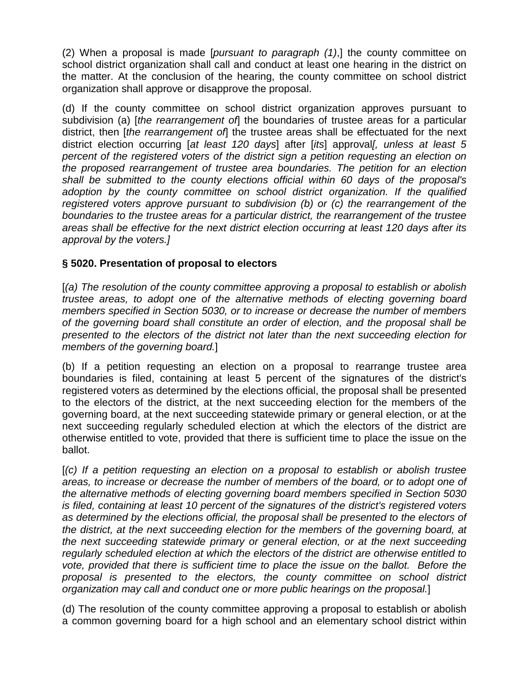(2) When a proposal is made [*pursuant to paragraph (1)*,] the county committee on school district organization shall call and conduct at least one hearing in the district on the matter. At the conclusion of the hearing, the county committee on school district organization shall approve or disapprove the proposal.

(d) If the county committee on school district organization approves pursuant to subdivision (a) [*the rearrangement of*] the boundaries of trustee areas for a particular district, then [*the rearrangement of*] the trustee areas shall be effectuated for the next district election occurring [*at least 120 days*] after [*its*] approval*[, unless at least 5 percent of the registered voters of the district sign a petition requesting an election on the proposed rearrangement of trustee area boundaries. The petition for an election shall be submitted to the county elections official within 60 days of the proposal's adoption by the county committee on school district organization. If the qualified registered voters approve pursuant to subdivision (b) or (c) the rearrangement of the boundaries to the trustee areas for a particular district, the rearrangement of the trustee areas shall be effective for the next district election occurring at least 120 days after its approval by the voters.]*

# **§ 5020. Presentation of proposal to electors**

[*(a) The resolution of the county committee approving a proposal to establish or abolish trustee areas, to adopt one of the alternative methods of electing governing board members specified in Section 5030, or to increase or decrease the number of members of the governing board shall constitute an order of election, and the proposal shall be presented to the electors of the district not later than the next succeeding election for members of the governing board.*]

(b) If a petition requesting an election on a proposal to rearrange trustee area boundaries is filed, containing at least 5 percent of the signatures of the district's registered voters as determined by the elections official, the proposal shall be presented to the electors of the district, at the next succeeding election for the members of the governing board, at the next succeeding statewide primary or general election, or at the next succeeding regularly scheduled election at which the electors of the district are otherwise entitled to vote, provided that there is sufficient time to place the issue on the ballot.

[*(c) If a petition requesting an election on a proposal to establish or abolish trustee areas, to increase or decrease the number of members of the board, or to adopt one of the alternative methods of electing governing board members specified in Section 5030 is filed, containing at least 10 percent of the signatures of the district's registered voters as determined by the elections official, the proposal shall be presented to the electors of the district, at the next succeeding election for the members of the governing board, at the next succeeding statewide primary or general election, or at the next succeeding regularly scheduled election at which the electors of the district are otherwise entitled to vote, provided that there is sufficient time to place the issue on the ballot. Before the proposal is presented to the electors, the county committee on school district organization may call and conduct one or more public hearings on the proposal.*]

(d) The resolution of the county committee approving a proposal to establish or abolish a common governing board for a high school and an elementary school district within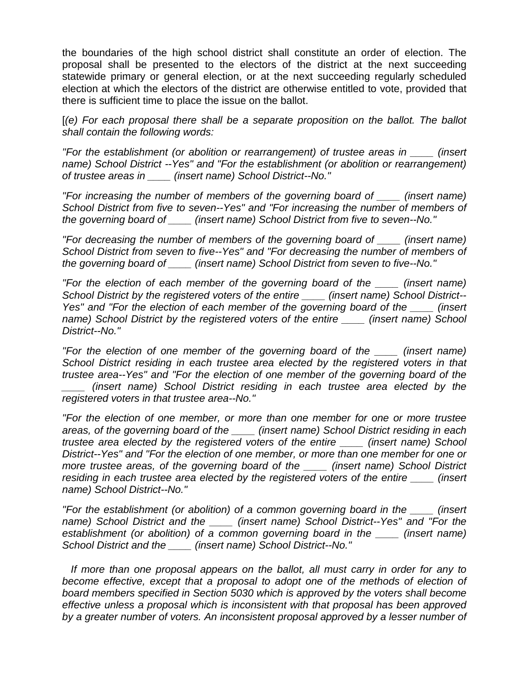the boundaries of the high school district shall constitute an order of election. The proposal shall be presented to the electors of the district at the next succeeding statewide primary or general election, or at the next succeeding regularly scheduled election at which the electors of the district are otherwise entitled to vote, provided that there is sufficient time to place the issue on the ballot.

[*(e) For each proposal there shall be a separate proposition on the ballot. The ballot shall contain the following words:*

*"For the establishment (or abolition or rearrangement) of trustee areas in \_\_\_\_ (insert name) School District --Yes" and "For the establishment (or abolition or rearrangement) of trustee areas in \_\_\_\_ (insert name) School District--No."*

*"For increasing the number of members of the governing board of \_\_\_\_ (insert name) School District from five to seven--Yes" and "For increasing the number of members of the governing board of \_\_\_\_ (insert name) School District from five to seven--No."*

*"For decreasing the number of members of the governing board of \_\_\_\_ (insert name) School District from seven to five--Yes" and "For decreasing the number of members of the governing board of \_\_\_\_ (insert name) School District from seven to five--No."*

*"For the election of each member of the governing board of the \_\_\_\_ (insert name) School District by the registered voters of the entire \_\_\_\_ (insert name) School District-- Yes" and "For the election of each member of the governing board of the \_\_\_\_ (insert name) School District by the registered voters of the entire \_\_\_\_ (insert name) School District--No."*

*"For the election of one member of the governing board of the \_\_\_\_ (insert name) School District residing in each trustee area elected by the registered voters in that trustee area--Yes" and "For the election of one member of the governing board of the \_\_\_\_ (insert name) School District residing in each trustee area elected by the registered voters in that trustee area--No."*

*"For the election of one member, or more than one member for one or more trustee areas, of the governing board of the \_\_\_\_ (insert name) School District residing in each trustee area elected by the registered voters of the entire \_\_\_\_ (insert name) School District--Yes" and "For the election of one member, or more than one member for one or more trustee areas, of the governing board of the \_\_\_\_ (insert name) School District residing in each trustee area elected by the registered voters of the entire \_\_\_\_ (insert name) School District--No."*

*"For the establishment (or abolition) of a common governing board in the \_\_\_\_ (insert name) School District and the \_\_\_\_ (insert name) School District--Yes" and "For the establishment (or abolition) of a common governing board in the \_\_\_\_ (insert name) School District and the \_\_\_\_ (insert name) School District--No."*

 *If more than one proposal appears on the ballot, all must carry in order for any to become effective, except that a proposal to adopt one of the methods of election of board members specified in Section 5030 which is approved by the voters shall become effective unless a proposal which is inconsistent with that proposal has been approved by a greater number of voters. An inconsistent proposal approved by a lesser number of*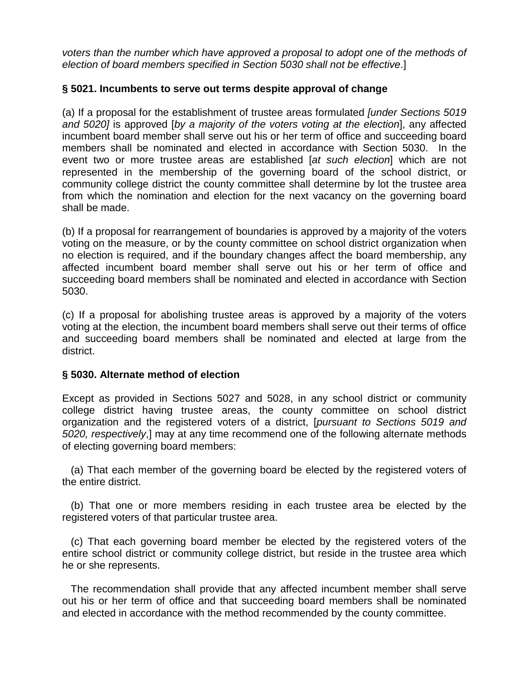*voters than the number which have approved a proposal to adopt one of the methods of election of board members specified in Section 5030 shall not be effective*.]

# **§ 5021. Incumbents to serve out terms despite approval of change**

(a) If a proposal for the establishment of trustee areas formulated *[under Sections 5019 and 5020]* is approved [*by a majority of the voters voting at the election*], any affected incumbent board member shall serve out his or her term of office and succeeding board members shall be nominated and elected in accordance with Section 5030. In the event two or more trustee areas are established [*at such election*] which are not represented in the membership of the governing board of the school district, or community college district the county committee shall determine by lot the trustee area from which the nomination and election for the next vacancy on the governing board shall be made.

(b) If a proposal for rearrangement of boundaries is approved by a majority of the voters voting on the measure, or by the county committee on school district organization when no election is required, and if the boundary changes affect the board membership, any affected incumbent board member shall serve out his or her term of office and succeeding board members shall be nominated and elected in accordance with Section 5030.

(c) If a proposal for abolishing trustee areas is approved by a majority of the voters voting at the election, the incumbent board members shall serve out their terms of office and succeeding board members shall be nominated and elected at large from the district.

# **§ 5030. Alternate method of election**

Except as provided in Sections 5027 and 5028, in any school district or community college district having trustee areas, the county committee on school district organization and the registered voters of a district, [*pursuant to Sections 5019 and 5020, respectively*,] may at any time recommend one of the following alternate methods of electing governing board members:

 (a) That each member of the governing board be elected by the registered voters of the entire district.

 (b) That one or more members residing in each trustee area be elected by the registered voters of that particular trustee area.

 (c) That each governing board member be elected by the registered voters of the entire school district or community college district, but reside in the trustee area which he or she represents.

 The recommendation shall provide that any affected incumbent member shall serve out his or her term of office and that succeeding board members shall be nominated and elected in accordance with the method recommended by the county committee.